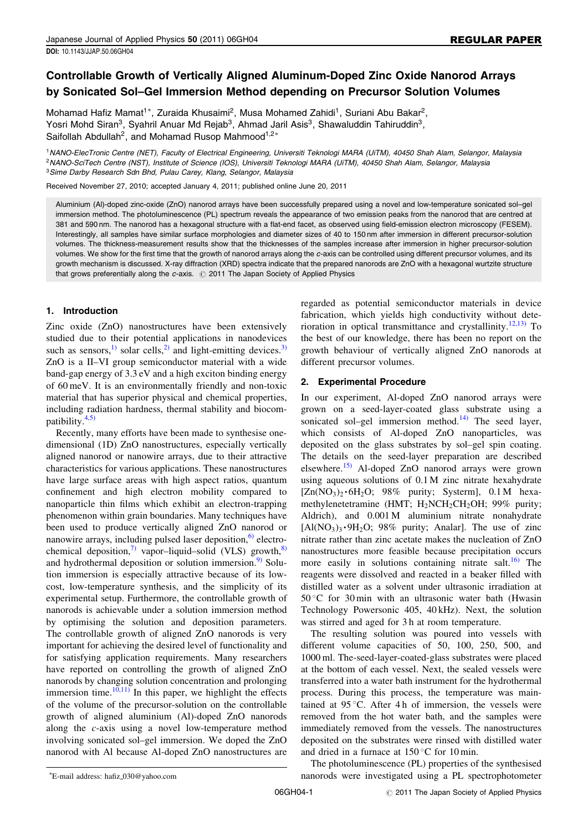# Controllable Growth of Vertically Aligned Aluminum-Doped Zinc Oxide Nanorod Arrays by Sonicated Sol–Gel Immersion Method depending on Precursor Solution Volumes

Mohamad Hafiz Mamat<sup>1\*</sup>, Zuraida Khusaimi<sup>2</sup>, Musa Mohamed Zahidi<sup>1</sup>, Suriani Abu Bakar<sup>2</sup>, Yosri Mohd Siran<sup>3</sup>, Syahril Anuar Md Rejab<sup>3</sup>, Ahmad Jaril Asis<sup>3</sup>, Shawaluddin Tahiruddin<sup>3</sup>, Saifollah Abdullah<sup>2</sup>, and Mohamad Rusop Mahmood<sup>1,2\*</sup>

<sup>1</sup>NANO-ElecTronic Centre (NET), Faculty of Electrical Engineering, Universiti Teknologi MARA (UiTM), 40450 Shah Alam, Selangor, Malaysia <sup>2</sup>NANO-SciTech Centre (NST), Institute of Science (IOS), Universiti Teknologi MARA (UiTM), 40450 Shah Alam, Selangor, Malaysia <sup>3</sup> Sime Darby Research Sdn Bhd, Pulau Carey, Klang, Selangor, Malaysia

Received November 27, 2010; accepted January 4, 2011; published online June 20, 2011

Aluminium (Al)-doped zinc-oxide (ZnO) nanorod arrays have been successfully prepared using a novel and low-temperature sonicated sol–gel immersion method. The photoluminescence (PL) spectrum reveals the appearance of two emission peaks from the nanorod that are centred at 381 and 590 nm. The nanorod has a hexagonal structure with a flat-end facet, as observed using field-emission electron microscopy (FESEM). Interestingly, all samples have similar surface morphologies and diameter sizes of 40 to 150 nm after immersion in different precursor-solution volumes. The thickness-measurement results show that the thicknesses of the samples increase after immersion in higher precursor-solution volumes. We show for the first time that the growth of nanorod arrays along the c-axis can be controlled using different precursor volumes, and its growth mechanism is discussed. X-ray diffraction (XRD) spectra indicate that the prepared nanorods are ZnO with a hexagonal wurtzite structure that grows preferentially along the  $c$ -axis.  $\odot$  2011 The Japan Society of Applied Physics

# 1. Introduction

Zinc oxide (ZnO) nanostructures have been extensively studied due to their potential applications in nanodevices such as sensors, $\frac{1}{1}$  solar cells, $\frac{2}{1}$  and light-emitting devices.<sup>[3\)](#page-4-0)</sup> ZnO is a II–VI group semiconductor material with a wide band-gap energy of 3.3 eV and a high exciton binding energy of 60 meV. It is an environmentally friendly and non-toxic material that has superior physical and chemical properties, including radiation hardness, thermal stability and biocompatibility. $4,5)$ 

Recently, many efforts have been made to synthesise onedimensional (1D) ZnO nanostructures, especially vertically aligned nanorod or nanowire arrays, due to their attractive characteristics for various applications. These nanostructures have large surface areas with high aspect ratios, quantum confinement and high electron mobility compared to nanoparticle thin films which exhibit an electron-trapping phenomenon within grain boundaries. Many techniques have been used to produce vertically aligned ZnO nanorod or nanowire arrays, including pulsed laser deposition, $6$ ) electro-chemical deposition,<sup>[7\)](#page-4-0)</sup> vapor–liquid–solid (VLS) growth,<sup>[8\)](#page-4-0)</sup> and hydrothermal deposition or solution immersion. $9$  Solution immersion is especially attractive because of its lowcost, low-temperature synthesis, and the simplicity of its experimental setup. Furthermore, the controllable growth of nanorods is achievable under a solution immersion method by optimising the solution and deposition parameters. The controllable growth of aligned ZnO nanorods is very important for achieving the desired level of functionality and for satisfying application requirements. Many researchers have reported on controlling the growth of aligned ZnO nanorods by changing solution concentration and prolonging immersion time. $\frac{10,11}{10}$  In this paper, we highlight the effects of the volume of the precursor-solution on the controllable growth of aligned aluminium (Al)-doped ZnO nanorods along the c-axis using a novel low-temperature method involving sonicated sol–gel immersion. We doped the ZnO nanorod with Al because Al-doped ZnO nanostructures are regarded as potential semiconductor materials in device fabrication, which yields high conductivity without dete-rioration in optical transmittance and crystallinity.<sup>[12,13\)](#page-4-0)</sup> To the best of our knowledge, there has been no report on the growth behaviour of vertically aligned ZnO nanorods at different precursor volumes.

## 2. Experimental Procedure

In our experiment, Al-doped ZnO nanorod arrays were grown on a seed-layer-coated glass substrate using a sonicated sol–gel immersion method.<sup>[14\)](#page-4-0)</sup> The seed layer, which consists of Al-doped ZnO nanoparticles, was deposited on the glass substrates by sol–gel spin coating. The details on the seed-layer preparation are described elsewhere.<sup>[15\)](#page-4-0)</sup> Al-doped ZnO nanorod arrays were grown using aqueous solutions of 0.1 M zinc nitrate hexahydrate  $[Zn(NO<sub>3</sub>)<sub>2</sub> \cdot 6H<sub>2</sub>O; 98% purity; System], 0.1 M hexa$ methylenetetramine (HMT;  $H_2NCH_2CH_2OH$ ; 99% purity; Aldrich), and 0.001 M aluminium nitrate nonahydrate  $[AI(NO_3)_3 \cdot 9H_2O; 98\%$  purity; Analar]. The use of zinc nitrate rather than zinc acetate makes the nucleation of ZnO nanostructures more feasible because precipitation occurs more easily in solutions containing nitrate salt.<sup>[16\)](#page-4-0)</sup> The reagents were dissolved and reacted in a beaker filled with distilled water as a solvent under ultrasonic irradiation at  $50^{\circ}$ C for 30 min with an ultrasonic water bath (Hwasin Technology Powersonic 405, 40 kHz). Next, the solution was stirred and aged for 3 h at room temperature.

The resulting solution was poured into vessels with different volume capacities of 50, 100, 250, 500, and 1000 ml. The-seed-layer-coated-glass substrates were placed at the bottom of each vessel. Next, the sealed vessels were transferred into a water bath instrument for the hydrothermal process. During this process, the temperature was maintained at  $95^{\circ}$ C. After 4 h of immersion, the vessels were removed from the hot water bath, and the samples were immediately removed from the vessels. The nanostructures deposited on the substrates were rinsed with distilled water and dried in a furnace at  $150^{\circ}$ C for 10 min.

The photoluminescence (PL) properties of the synthesised nanorods were investigated using a PL spectrophotometer

E-mail address: hafiz 030@yahoo.com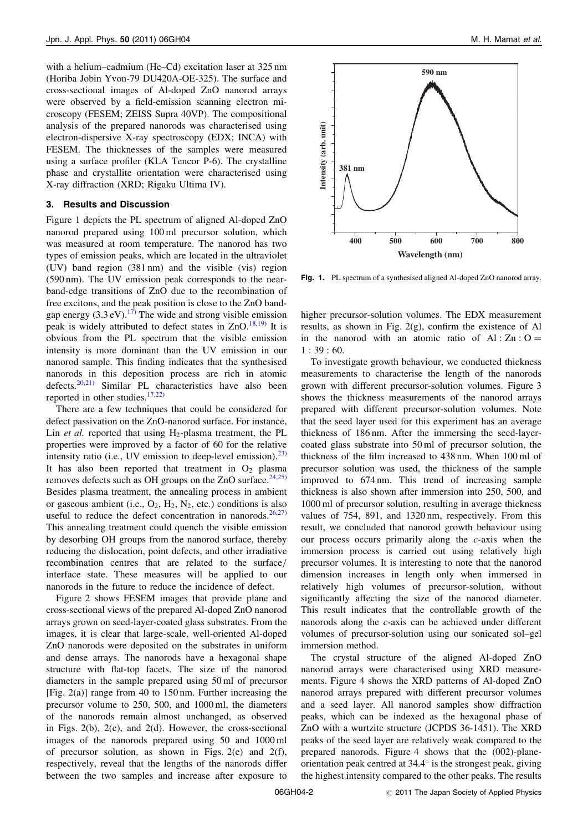with a helium–cadmium (He–Cd) excitation laser at 325 nm (Horiba Jobin Yvon-79 DU420A-OE-325). The surface and cross-sectional images of Al-doped ZnO nanorod arrays were observed by a field-emission scanning electron microscopy (FESEM; ZEISS Supra 40VP). The compositional analysis of the prepared nanorods was characterised using electron-dispersive X-ray spectroscopy (EDX; INCA) with FESEM. The thicknesses of the samples were measured using a surface profiler (KLA Tencor P-6). The crystalline phase and crystallite orientation were characterised using X-ray diffraction (XRD; Rigaku Ultima IV).

#### 3. Results and Discussion

Figure 1 depicts the PL spectrum of aligned Al-doped ZnO nanorod prepared using 100 ml precursor solution, which was measured at room temperature. The nanorod has two types of emission peaks, which are located in the ultraviolet (UV) band region (381 nm) and the visible (vis) region (590 nm). The UV emission peak corresponds to the nearband-edge transitions of ZnO due to the recombination of free excitons, and the peak position is close to the ZnO bandgap energy  $(3.3 \text{ eV})$ .<sup>17</sup> The wide and strong visible emission peak is widely attributed to defect states in  $ZnO.<sup>18,19)</sup>$  $ZnO.<sup>18,19)</sup>$  $ZnO.<sup>18,19)</sup>$  It is obvious from the PL spectrum that the visible emission intensity is more dominant than the UV emission in our nanorod sample. This finding indicates that the synthesised nanorods in this deposition process are rich in atomic defects. $20,21)$  Similar PL characteristics have also been reported in other studies. $17,22$ )

There are a few techniques that could be considered for defect passivation on the ZnO-nanorod surface. For instance, Lin *et al.* reported that using  $H_2$ -plasma treatment, the PL properties were improved by a factor of 60 for the relative intensity ratio (i.e., UV emission to deep-level emission). $^{23}$ It has also been reported that treatment in  $O_2$  plasma removes defects such as OH groups on the ZnO surface. $24,25$ ) Besides plasma treatment, the annealing process in ambient or gaseous ambient (i.e.,  $O_2$ ,  $H_2$ ,  $N_2$ , etc.) conditions is also useful to reduce the defect concentration in nanorods.  $26,27$ This annealing treatment could quench the visible emission by desorbing OH groups from the nanorod surface, thereby reducing the dislocation, point defects, and other irradiative recombination centres that are related to the surface/ interface state. These measures will be applied to our nanorods in the future to reduce the incidence of defect.

Figure 2 shows FESEM images that provide plane and cross-sectional views of the prepared Al-doped ZnO nanorod arrays grown on seed-layer-coated glass substrates. From the images, it is clear that large-scale, well-oriented Al-doped ZnO nanorods were deposited on the substrates in uniform and dense arrays. The nanorods have a hexagonal shape structure with flat-top facets. The size of the nanorod diameters in the sample prepared using 50 ml of precursor [Fig. 2(a)] range from 40 to 150 nm. Further increasing the precursor volume to 250, 500, and 1000 ml, the diameters of the nanorods remain almost unchanged, as observed in Figs. 2(b), 2(c), and 2(d). However, the cross-sectional images of the nanorods prepared using 50 and 1000 ml of precursor solution, as shown in Figs.  $2(e)$  and  $2(f)$ , respectively, reveal that the lengths of the nanorods differ between the two samples and increase after exposure to



Fig. 1. PL spectrum of a synthesised aligned Al-doped ZnO nanorod array.

higher precursor-solution volumes. The EDX measurement results, as shown in Fig. 2(g), confirm the existence of Al in the nanorod with an atomic ratio of  $Al: Zn: O =$ 1 : 39 : 60.

To investigate growth behaviour, we conducted thickness measurements to characterise the length of the nanorods grown with different precursor-solution volumes. Figure 3 shows the thickness measurements of the nanorod arrays prepared with different precursor-solution volumes. Note that the seed layer used for this experiment has an average thickness of 186 nm. After the immersing the seed-layercoated glass substrate into 50 ml of precursor solution, the thickness of the film increased to 438 nm. When 100 ml of precursor solution was used, the thickness of the sample improved to 674 nm. This trend of increasing sample thickness is also shown after immersion into 250, 500, and 1000 ml of precursor solution, resulting in average thickness values of 754, 891, and 1320 nm, respectively. From this result, we concluded that nanorod growth behaviour using our process occurs primarily along the  $c$ -axis when the immersion process is carried out using relatively high precursor volumes. It is interesting to note that the nanorod dimension increases in length only when immersed in relatively high volumes of precursor-solution, without significantly affecting the size of the nanorod diameter. This result indicates that the controllable growth of the nanorods along the c-axis can be achieved under different volumes of precursor-solution using our sonicated sol–gel immersion method.

The crystal structure of the aligned Al-doped ZnO nanorod arrays were characterised using XRD measurements. Figure 4 shows the XRD patterns of Al-doped ZnO nanorod arrays prepared with different precursor volumes and a seed layer. All nanorod samples show diffraction peaks, which can be indexed as the hexagonal phase of ZnO with a wurtzite structure (JCPDS 36-1451). The XRD peaks of the seed layer are relatively weak compared to the prepared nanorods. Figure 4 shows that the (002)-planeorientation peak centred at  $34.4^\circ$  is the strongest peak, giving the highest intensity compared to the other peaks. The results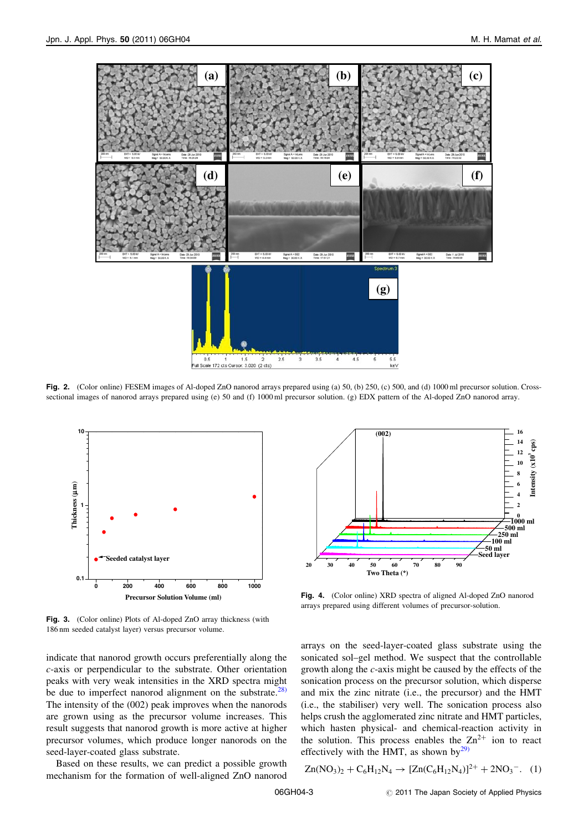

Fig. 2. (Color online) FESEM images of Al-doped ZnO nanorod arrays prepared using (a) 50, (b) 250, (c) 500, and (d) 1000 ml precursor solution. Crosssectional images of nanorod arrays prepared using (e) 50 and (f) 1000 ml precursor solution. (g) EDX pattern of the Al-doped ZnO nanorod array.



Fig. 3. (Color online) Plots of Al-doped ZnO array thickness (with 186 nm seeded catalyst layer) versus precursor volume.

indicate that nanorod growth occurs preferentially along the c-axis or perpendicular to the substrate. Other orientation peaks with very weak intensities in the XRD spectra might be due to imperfect nanorod alignment on the substrate. $^{28}$ The intensity of the (002) peak improves when the nanorods are grown using as the precursor volume increases. This result suggests that nanorod growth is more active at higher precursor volumes, which produce longer nanorods on the seed-layer-coated glass substrate.

Based on these results, we can predict a possible growth mechanism for the formation of well-aligned ZnO nanorod



Fig. 4. (Color online) XRD spectra of aligned Al-doped ZnO nanorod arrays prepared using different volumes of precursor-solution.

arrays on the seed-layer-coated glass substrate using the sonicated sol–gel method. We suspect that the controllable growth along the c-axis might be caused by the effects of the sonication process on the precursor solution, which disperse and mix the zinc nitrate (i.e., the precursor) and the HMT (i.e., the stabiliser) very well. The sonication process also helps crush the agglomerated zinc nitrate and HMT particles, which hasten physical- and chemical-reaction activity in the solution. This process enables the  $\text{Zn}^{2+}$  ion to react effectively with the HMT, as shown  $by^{29}$ 

$$
Zn(NO_3)_2 + C_6H_{12}N_4 \rightarrow [Zn(C_6H_{12}N_4)]^{2+} + 2NO_3^-.
$$
 (1)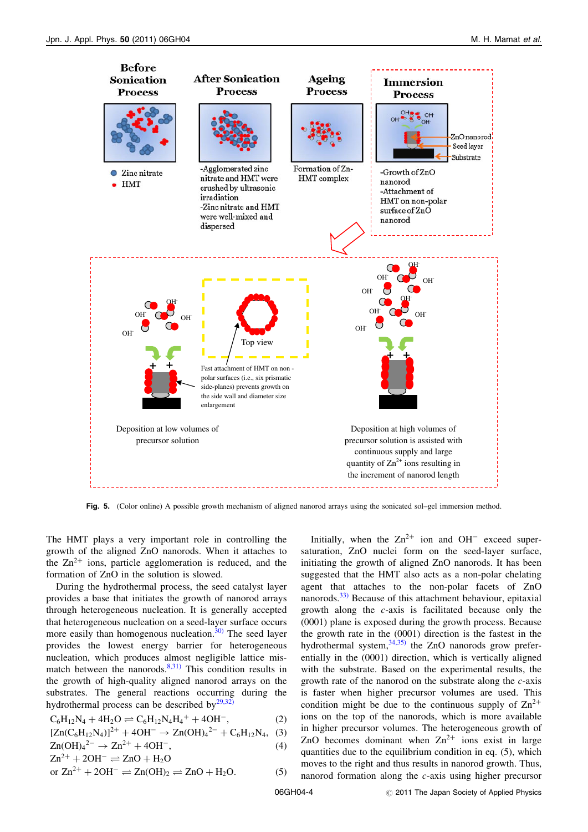

Fig. 5. (Color online) A possible growth mechanism of aligned nanorod arrays using the sonicated sol–gel immersion method.

The HMT plays a very important role in controlling the growth of the aligned ZnO nanorods. When it attaches to the  $Zn^{2+}$  ions, particle agglomeration is reduced, and the formation of ZnO in the solution is slowed.

During the hydrothermal process, the seed catalyst layer provides a base that initiates the growth of nanorod arrays through heterogeneous nucleation. It is generally accepted that heterogeneous nucleation on a seed-layer surface occurs more easily than homogenous nucleation. $30$  The seed layer provides the lowest energy barrier for heterogeneous nucleation, which produces almost negligible lattice mismatch between the nanorods. $8,31)$  This condition results in the growth of high-quality aligned nanorod arrays on the substrates. The general reactions occurring during the hydrothermal process can be described by $\frac{29,32}{9}$ 

$$
C_6H_{12}N_4 + 4H_2O \rightleftharpoons C_6H_{12}N_4H_4^+ + 4OH^-, \tag{2}
$$

$$
[Zn(C_6H_{12}N_4)]^{2+} + 4OH^- \rightarrow Zn(OH)_4{}^{2-} + C_6H_{12}N_4, (3)
$$

$$
Zn(OH)42- \to Zn2+ + 4OH-,Zn2+ + 2OH- \rightleftharpoons ZnO + H2O
$$
 (4)

$$
\text{or } Zn^{2+} + 2OH^- \rightleftharpoons Zn(OH)_2 \rightleftharpoons ZnO + H_2O. \tag{5}
$$

Initially, when the  $Zn^{2+}$  ion and OH<sup>-</sup> exceed supersaturation, ZnO nuclei form on the seed-layer surface, initiating the growth of aligned ZnO nanorods. It has been suggested that the HMT also acts as a non-polar chelating agent that attaches to the non-polar facets of ZnO nanorods.[33\)](#page-5-0) Because of this attachment behaviour, epitaxial growth along the c-axis is facilitated because only the (0001) plane is exposed during the growth process. Because the growth rate in the (0001) direction is the fastest in the hydrothermal system, $34,35$ ) the ZnO nanorods grow preferentially in the (0001) direction, which is vertically aligned with the substrate. Based on the experimental results, the growth rate of the nanorod on the substrate along the c-axis is faster when higher precursor volumes are used. This condition might be due to the continuous supply of  $\text{Zn}^{2+}$ ions on the top of the nanorods, which is more available in higher precursor volumes. The heterogeneous growth of ZnO becomes dominant when  $Zn^{2+}$  ions exist in large quantities due to the equilibrium condition in eq. (5), which moves to the right and thus results in nanorod growth. Thus, nanorod formation along the c-axis using higher precursor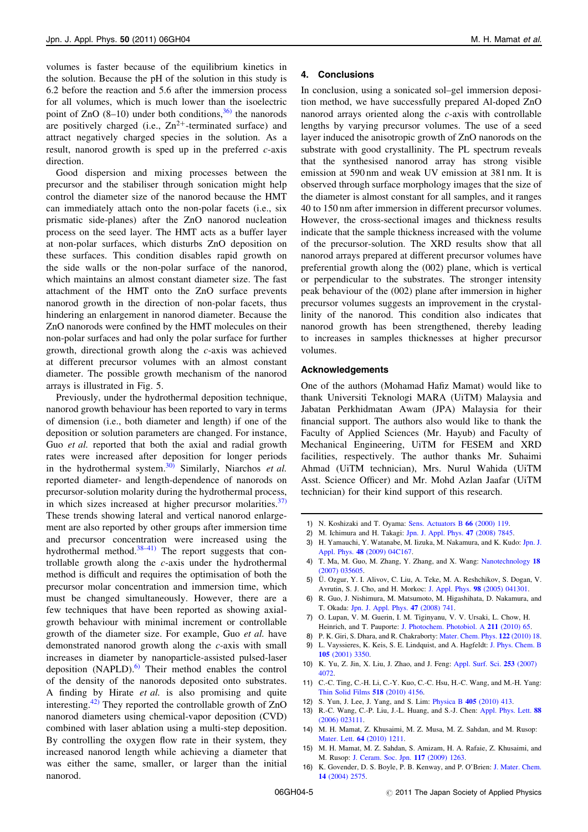<span id="page-4-0"></span>volumes is faster because of the equilibrium kinetics in the solution. Because the pH of the solution in this study is 6.2 before the reaction and 5.6 after the immersion process for all volumes, which is much lower than the isoelectric point of  $ZnO(8-10)$  under both conditions,  $36$  the nanorods are positively charged (i.e.,  $Zn^{2+}$ -terminated surface) and attract negatively charged species in the solution. As a result, nanorod growth is sped up in the preferred c-axis direction.

Good dispersion and mixing processes between the precursor and the stabiliser through sonication might help control the diameter size of the nanorod because the HMT can immediately attach onto the non-polar facets (i.e., six prismatic side-planes) after the ZnO nanorod nucleation process on the seed layer. The HMT acts as a buffer layer at non-polar surfaces, which disturbs ZnO deposition on these surfaces. This condition disables rapid growth on the side walls or the non-polar surface of the nanorod, which maintains an almost constant diameter size. The fast attachment of the HMT onto the ZnO surface prevents nanorod growth in the direction of non-polar facets, thus hindering an enlargement in nanorod diameter. Because the ZnO nanorods were confined by the HMT molecules on their non-polar surfaces and had only the polar surface for further growth, directional growth along the c-axis was achieved at different precursor volumes with an almost constant diameter. The possible growth mechanism of the nanorod arrays is illustrated in Fig. 5.

Previously, under the hydrothermal deposition technique, nanorod growth behaviour has been reported to vary in terms of dimension (i.e., both diameter and length) if one of the deposition or solution parameters are changed. For instance, Guo *et al.* reported that both the axial and radial growth rates were increased after deposition for longer periods in the hydrothermal system. $30$  Similarly, Niarchos *et al.* reported diameter- and length-dependence of nanorods on precursor-solution molarity during the hydrothermal process, in which sizes increased at higher precursor molarities. $37$ ) These trends showing lateral and vertical nanorod enlargement are also reported by other groups after immersion time and precursor concentration were increased using the hydrothermal method.<sup>38-41)</sup> The report suggests that controllable growth along the  $c$ -axis under the hydrothermal method is difficult and requires the optimisation of both the precursor molar concentration and immersion time, which must be changed simultaneously. However, there are a few techniques that have been reported as showing axialgrowth behaviour with minimal increment or controllable growth of the diameter size. For example, Guo et al. have demonstrated nanorod growth along the c-axis with small increases in diameter by nanoparticle-assisted pulsed-laser deposition  $(NAPLD)$ .<sup>6)</sup> Their method enables the control of the density of the nanorods deposited onto substrates. A finding by Hirate et al. is also promising and quite interesting.<sup>[42\)](#page-5-0)</sup> They reported the controllable growth of  $ZnO$ nanorod diameters using chemical-vapor deposition (CVD) combined with laser ablation using a multi-step deposition. By controlling the oxygen flow rate in their system, they increased nanorod length while achieving a diameter that was either the same, smaller, or larger than the initial nanorod.

### 4. Conclusions

In conclusion, using a sonicated sol–gel immersion deposition method, we have successfully prepared Al-doped ZnO nanorod arrays oriented along the c-axis with controllable lengths by varying precursor volumes. The use of a seed layer induced the anisotropic growth of ZnO nanorods on the substrate with good crystallinity. The PL spectrum reveals that the synthesised nanorod array has strong visible emission at 590 nm and weak UV emission at 381 nm. It is observed through surface morphology images that the size of the diameter is almost constant for all samples, and it ranges 40 to 150 nm after immersion in different precursor volumes. However, the cross-sectional images and thickness results indicate that the sample thickness increased with the volume of the precursor-solution. The XRD results show that all nanorod arrays prepared at different precursor volumes have preferential growth along the (002) plane, which is vertical or perpendicular to the substrates. The stronger intensity peak behaviour of the (002) plane after immersion in higher precursor volumes suggests an improvement in the crystallinity of the nanorod. This condition also indicates that nanorod growth has been strengthened, thereby leading to increases in samples thicknesses at higher precursor volumes.

#### Acknowledgements

One of the authors (Mohamad Hafiz Mamat) would like to thank Universiti Teknologi MARA (UiTM) Malaysia and Jabatan Perkhidmatan Awam (JPA) Malaysia for their financial support. The authors also would like to thank the Faculty of Applied Sciences (Mr. Hayub) and Faculty of Mechanical Engineering, UiTM for FESEM and XRD facilities, respectively. The author thanks Mr. Suhaimi Ahmad (UiTM technician), Mrs. Nurul Wahida (UiTM Asst. Science Officer) and Mr. Mohd Azlan Jaafar (UiTM technician) for their kind support of this research.

- 1) N. Koshizaki and T. Oyama: [Sens. Actuators B](http://dx.doi.org/10.1016/S0925-4005(00)00323-3) 66 (2000) 119.
- 2) M. Ichimura and H. Takagi: [Jpn. J. Appl. Phys.](http://dx.doi.org/10.1143/JJAP.47.7845) 47 (2008) 7845.
- 3) H. Yamauchi, Y. Watanabe, M. Iizuka, M. Nakamura, and K. Kudo: [Jpn. J.](http://dx.doi.org/10.1143/JJAP.48.04C167) Appl. Phys. 48 [\(2009\) 04C167.](http://dx.doi.org/10.1143/JJAP.48.04C167)
- 4) T. Ma, M. Guo, M. Zhang, Y. Zhang, and X. Wang: [Nanotechnology](http://dx.doi.org/10.1088/0957-4484/18/3/035605) 18 [\(2007\) 035605.](http://dx.doi.org/10.1088/0957-4484/18/3/035605)
- 5) Ü. Ozgur, Y. I. Alivov, C. Liu, A. Teke, M. A. Reshchikov, S. Dogan, V. Avrutin, S. J. Cho, and H. Morkoc: J. Appl. Phys. 98 [\(2005\) 041301.](http://dx.doi.org/10.1063/1.1992666)
- 6) R. Guo, J. Nishimura, M. Matsumoto, M. Higashihata, D. Nakamura, and T. Okada: [Jpn. J. Appl. Phys.](http://dx.doi.org/10.1143/JJAP.47.741) 47 (2008) 741.
- 7) O. Lupan, V. M. Guerin, I. M. Tiginyanu, V. V. Ursaki, L. Chow, H. Heinrich, and T. Pauporte: [J. Photochem. Photobiol. A](http://dx.doi.org/10.1016/j.jphotochem.2010.02.004) 211 (2010) 65.
- 8) P. K. Giri, S. Dhara, and R. Chakraborty: [Mater. Chem. Phys.](http://dx.doi.org/10.1016/j.matchemphys.2010.02.027) 122 (2010) 18.
- 9) L. Vayssieres, K. Keis, S. E. Lindquist, and A. Hagfeldt: [J. Phys. Chem. B](http://dx.doi.org/10.1021/jp010026s) 105 [\(2001\) 3350.](http://dx.doi.org/10.1021/jp010026s)
- 10) K. Yu, Z. Jin, X. Liu, J. Zhao, and J. Feng: [Appl. Surf. Sci.](http://dx.doi.org/10.1016/j.apsusc.2006.09.001) 253 (2007) [4072.](http://dx.doi.org/10.1016/j.apsusc.2006.09.001)
- 11) C.-C. Ting, C.-H. Li, C.-Y. Kuo, C.-C. Hsu, H.-C. Wang, and M.-H. Yang: [Thin Solid Films](http://dx.doi.org/10.1016/j.tsf.2009.11.082) 518 (2010) 4156.
- 12) S. Yun, J. Lee, J. Yang, and S. Lim: Physica B 405 [\(2010\) 413.](http://dx.doi.org/10.1016/j.physb.2009.08.297)
- 13) R.-C. Wang, C.-P. Liu, J.-L. Huang, and S.-J. Chen: [Appl. Phys. Lett.](http://dx.doi.org/10.1063/1.2161393) 88 [\(2006\) 023111.](http://dx.doi.org/10.1063/1.2161393)
- 14) M. H. Mamat, Z. Khusaimi, M. Z. Musa, M. Z. Sahdan, and M. Rusop: Mater. Lett. 64 [\(2010\) 1211.](http://dx.doi.org/10.1016/j.matlet.2010.02.053)
- 15) M. H. Mamat, M. Z. Sahdan, S. Amizam, H. A. Rafaie, Z. Khusaimi, and M. Rusop: [J. Ceram. Soc. Jpn.](http://dx.doi.org/10.2109/jcersj2.117.1263) 117 (2009) 1263.
- 16) K. Govender, D. S. Boyle, P. B. Kenway, and P. O'Brien: [J. Mater. Chem.](http://dx.doi.org/10.1039/b404784b) 14 [\(2004\) 2575](http://dx.doi.org/10.1039/b404784b).